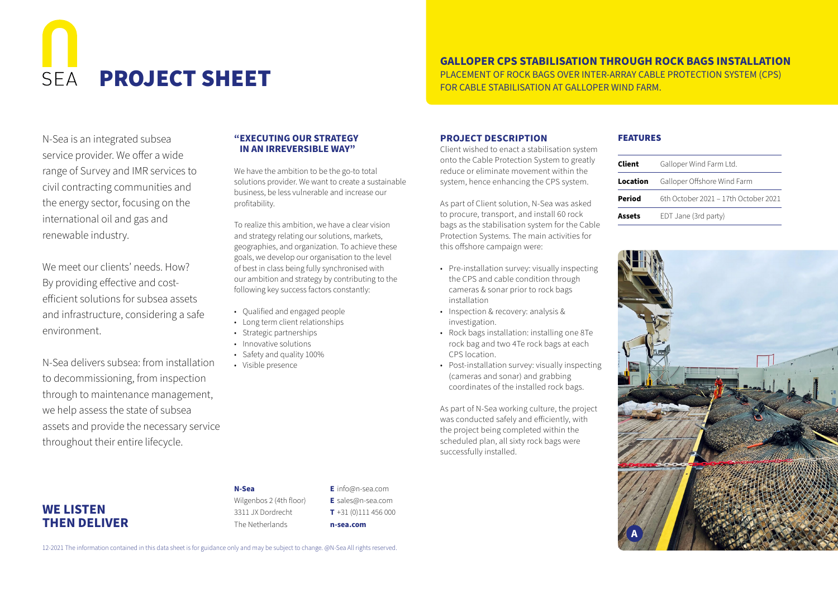# $SFA$

# **GALLOPER CPS STABILISATION THROUGH ROCK BAGS INSTALLATION**

PROJECT SHEET TERRAS OVER INTER-ARRAY CABLE PROTECTION SYSTEM (CPS)

N-Sea is an integrated subsea service provider. We offer a wide range of Survey and IMR services to civil contracting communities and the energy sector, focusing on the international oil and gas and renewable industry.

We meet our clients' needs. How? By providing effective and costefficient solutions for subsea assets and infrastructure, considering a safe environment.

N-Sea delivers subsea: from installation to decommissioning, from inspection through to maintenance management, we help assess the state of subsea assets and provide the necessary service throughout their entire lifecycle.

### **"EXECUTING OUR STRATEGY IN AN IRREVERSIBLE WAY"**

We have the ambition to be the go-to total solutions provider. We want to create a sustainable business, be less vulnerable and increase our profitability.

To realize this ambition, we have a clear vision and strategy relating our solutions, markets, geographies, and organization. To achieve these goals, we develop our organisation to the level of best in class being fully synchronised with our ambition and strategy by contributing to the following key success factors constantly:

- Qualified and engaged people
- Long term client relationships
- Strategic partnerships
- Innovative solutions
- Safety and quality 100%
- Visible presence

### **PROJECT DESCRIPTION**

Client wished to enact a stabilisation system onto the Cable Protection System to greatly reduce or eliminate movement within the system, hence enhancing the CPS system.

As part of Client solution, N-Sea was asked to procure, transport, and install 60 rock bags as the stabilisation system for the Cable Protection Systems. The main activities for this offshore campaign were:

- Pre-installation survey: visually inspecting the CPS and cable condition through cameras & sonar prior to rock bags installation
- Inspection & recovery: analysis & investigation.
- Rock bags installation: installing one 8Te rock bag and two 4Te rock bags at each CPS location.
- Post-installation survey: visually inspecting (cameras and sonar) and grabbing coordinates of the installed rock bags.

As part of N-Sea working culture, the project was conducted safely and efficiently, with the project being completed within the scheduled plan, all sixty rock bags were successfully installed.

### FEATURES

| Client   | Galloper Wind Farm Ltd.              |
|----------|--------------------------------------|
| Location | Galloper Offshore Wind Farm          |
| Period   | 6th October 2021 - 17th October 2021 |
| Assets   | EDT Jane (3rd party)                 |



**WE LISTEN THEN DELIVER**

**N-Sea** Wilgenbos 2 (4th floor) 3311 JX Dordrecht The Netherlands

**E** info@n-sea.com **E** sales@n-sea.com **T** +31 (0)111 456 000 **n-sea.com**

12-2021 The information contained in this data sheet is for guidance only and may be subject to change. @N-Sea All rights reserved.